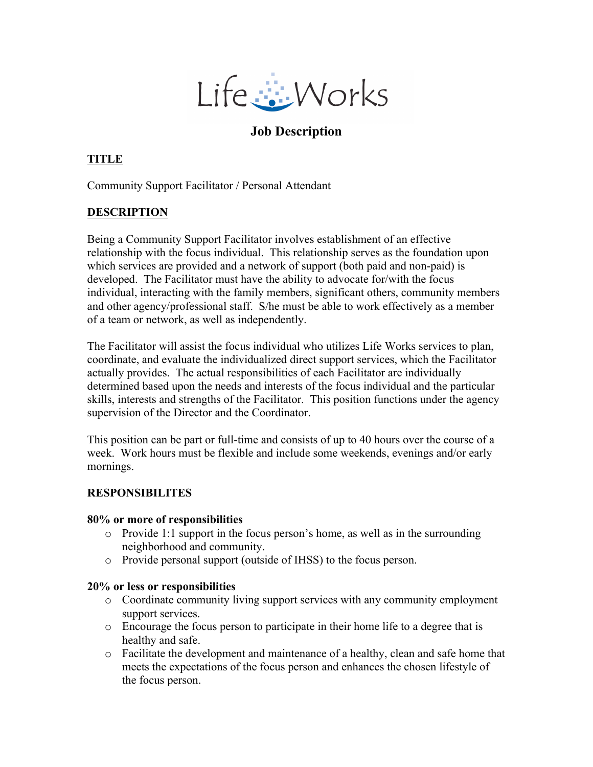

# **Job Description**

## **TITLE**

Community Support Facilitator / Personal Attendant

## **DESCRIPTION**

Being a Community Support Facilitator involves establishment of an effective relationship with the focus individual. This relationship serves as the foundation upon which services are provided and a network of support (both paid and non-paid) is developed. The Facilitator must have the ability to advocate for/with the focus individual, interacting with the family members, significant others, community members and other agency/professional staff. S/he must be able to work effectively as a member of a team or network, as well as independently.

The Facilitator will assist the focus individual who utilizes Life Works services to plan, coordinate, and evaluate the individualized direct support services, which the Facilitator actually provides. The actual responsibilities of each Facilitator are individually determined based upon the needs and interests of the focus individual and the particular skills, interests and strengths of the Facilitator. This position functions under the agency supervision of the Director and the Coordinator.

This position can be part or full-time and consists of up to 40 hours over the course of a week. Work hours must be flexible and include some weekends, evenings and/or early mornings.

## **RESPONSIBILITES**

#### **80% or more of responsibilities**

- o Provide 1:1 support in the focus person's home, as well as in the surrounding neighborhood and community.
- o Provide personal support (outside of IHSS) to the focus person.

#### **20% or less or responsibilities**

- o Coordinate community living support services with any community employment support services.
- o Encourage the focus person to participate in their home life to a degree that is healthy and safe.
- $\circ$  Facilitate the development and maintenance of a healthy, clean and safe home that meets the expectations of the focus person and enhances the chosen lifestyle of the focus person.